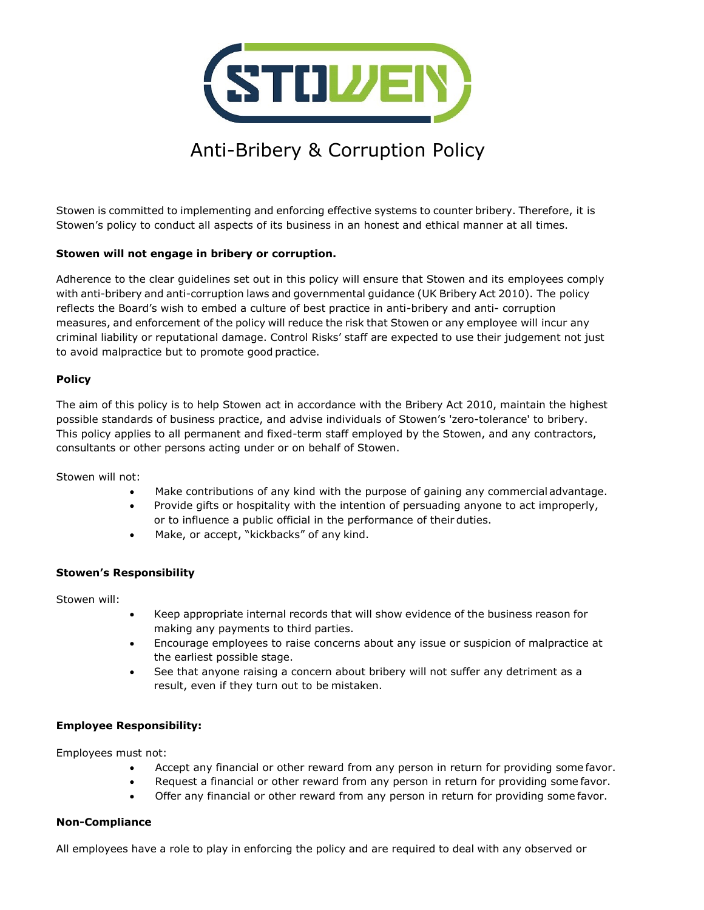

# Anti-Bribery & Corruption Policy

Stowen is committed to implementing and enforcing effective systems to counter bribery. Therefore, it is Stowen's policy to conduct all aspects of its business in an honest and ethical manner at all times.

#### **Stowen will not engage in bribery or corruption.**

Adherence to the clear guidelines set out in this policy will ensure that Stowen and its employees comply with anti-bribery and anti-corruption laws and governmental guidance (UK Bribery Act 2010). The policy reflects the Board's wish to embed a culture of best practice in anti-bribery and anti- corruption measures, and enforcement of the policy will reduce the risk that Stowen or any employee will incur any criminal liability or reputational damage. Control Risks' staff are expected to use their judgement not just to avoid malpractice but to promote good practice.

#### **Policy**

The aim of this policy is to help Stowen act in accordance with the Bribery Act 2010, maintain the highest possible standards of business practice, and advise individuals of Stowen's 'zero-tolerance' to bribery. This policy applies to all permanent and fixed-term staff employed by the Stowen, and any contractors, consultants or other persons acting under or on behalf of Stowen.

Stowen will not:

- Make contributions of any kind with the purpose of gaining any commercial advantage.
- Provide gifts or hospitality with the intention of persuading anyone to act improperly, or to influence a public official in the performance of their duties.
- Make, or accept, "kickbacks" of any kind.

# **Stowen's Responsibility**

Stowen will:

- Keep appropriate internal records that will show evidence of the business reason for making any payments to third parties.
- Encourage employees to raise concerns about any issue or suspicion of malpractice at the earliest possible stage.
- See that anyone raising a concern about bribery will not suffer any detriment as a result, even if they turn out to be mistaken.

#### **Employee Responsibility:**

Employees must not:

- Accept any financial or other reward from any person in return for providing some favor.
- Request a financial or other reward from any person in return for providing some favor.
- Offer any financial or other reward from any person in return for providing some favor.

# **Non-Compliance**

All employees have a role to play in enforcing the policy and are required to deal with any observed or